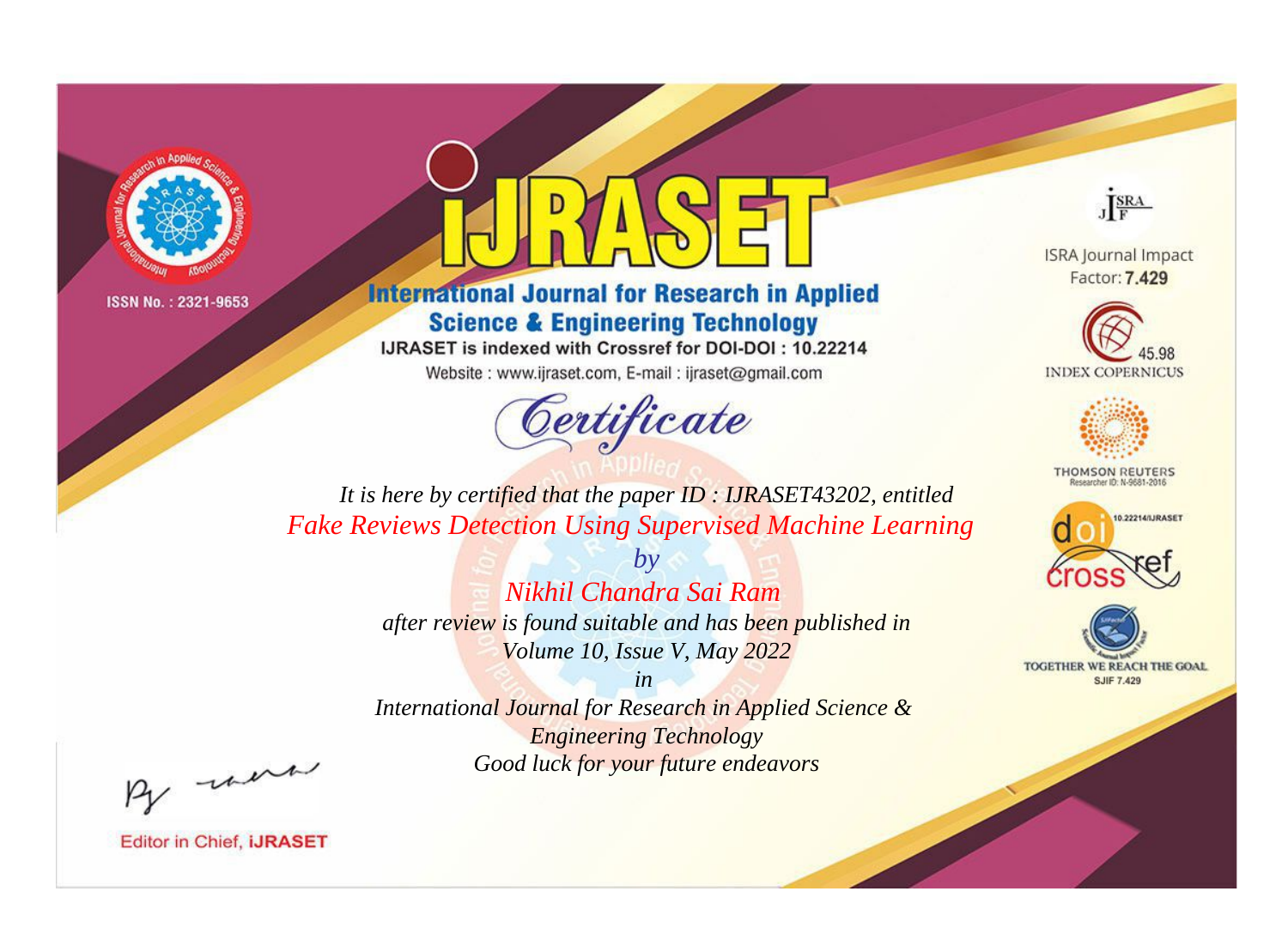



**International Journal for Research in Applied Science & Engineering Technology** 

IJRASET is indexed with Crossref for DOI-DOI: 10.22214

Website: www.ijraset.com, E-mail: ijraset@gmail.com



JERA

**ISRA Journal Impact** Factor: 7.429





**THOMSON REUTERS** 



TOGETHER WE REACH THE GOAL **SJIF 7.429** 

*It is here by certified that the paper ID : IJRASET43202, entitled Fake Reviews Detection Using Supervised Machine Learning*

> *by Nikhil Chandra Sai Ram after review is found suitable and has been published in Volume 10, Issue V, May 2022*

> > *in*

*International Journal for Research in Applied Science & Engineering Technology Good luck for your future endeavors*

By morn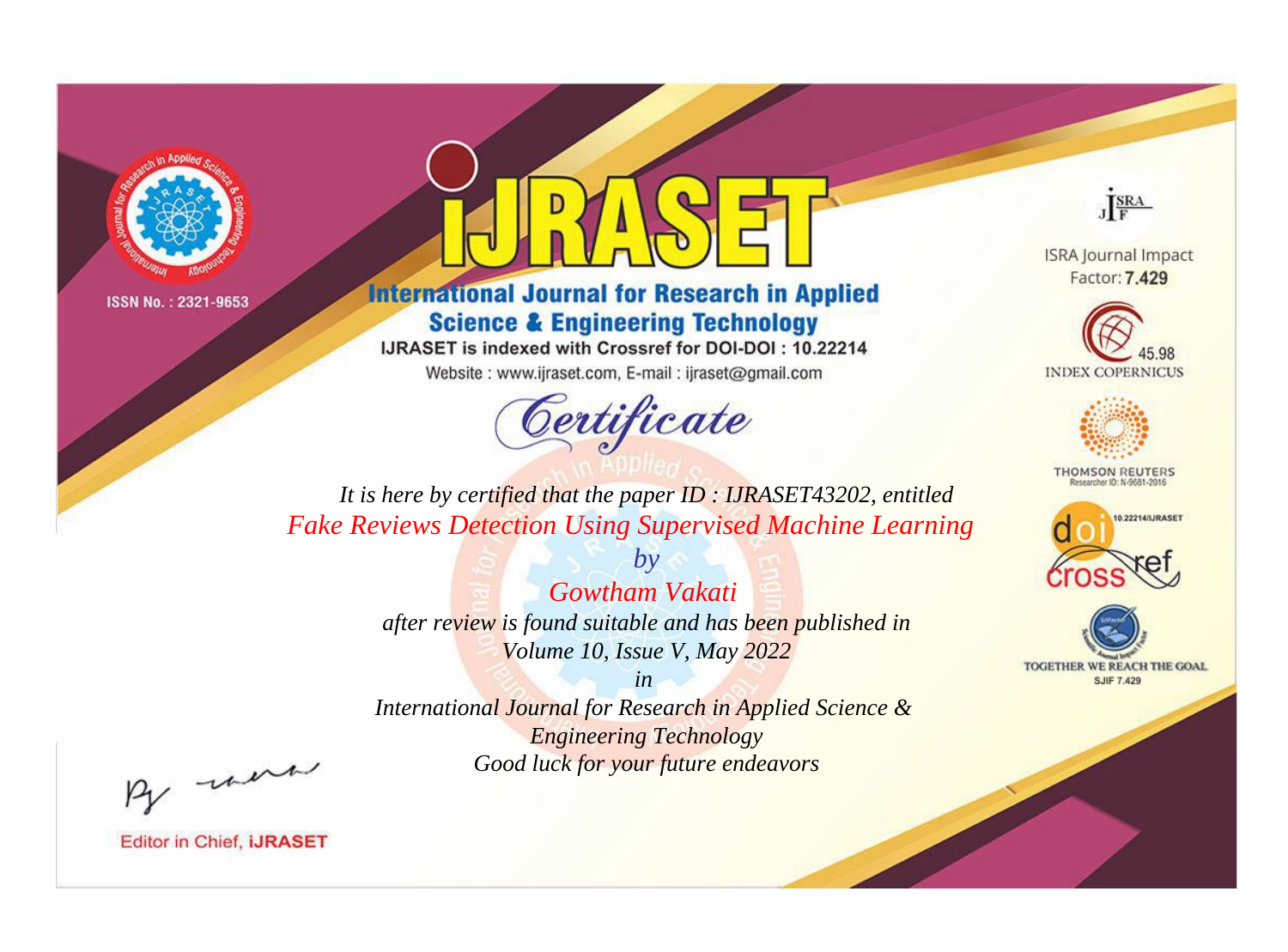



**International Journal for Research in Applied Science & Engineering Technology** 

IJRASET is indexed with Crossref for DOI-DOI: 10.22214

Website: www.ijraset.com, E-mail: ijraset@gmail.com



JERA

**ISRA Journal Impact** Factor: 7.429





**THOMSON REUTERS** 



TOGETHER WE REACH THE GOAL **SJIF 7.429** 

*It is here by certified that the paper ID : IJRASET43202, entitled Fake Reviews Detection Using Supervised Machine Learning*

> *Gowtham Vakati after review is found suitable and has been published in Volume 10, Issue V, May 2022*

*by*

*in* 

*International Journal for Research in Applied Science & Engineering Technology Good luck for your future endeavors*

By morn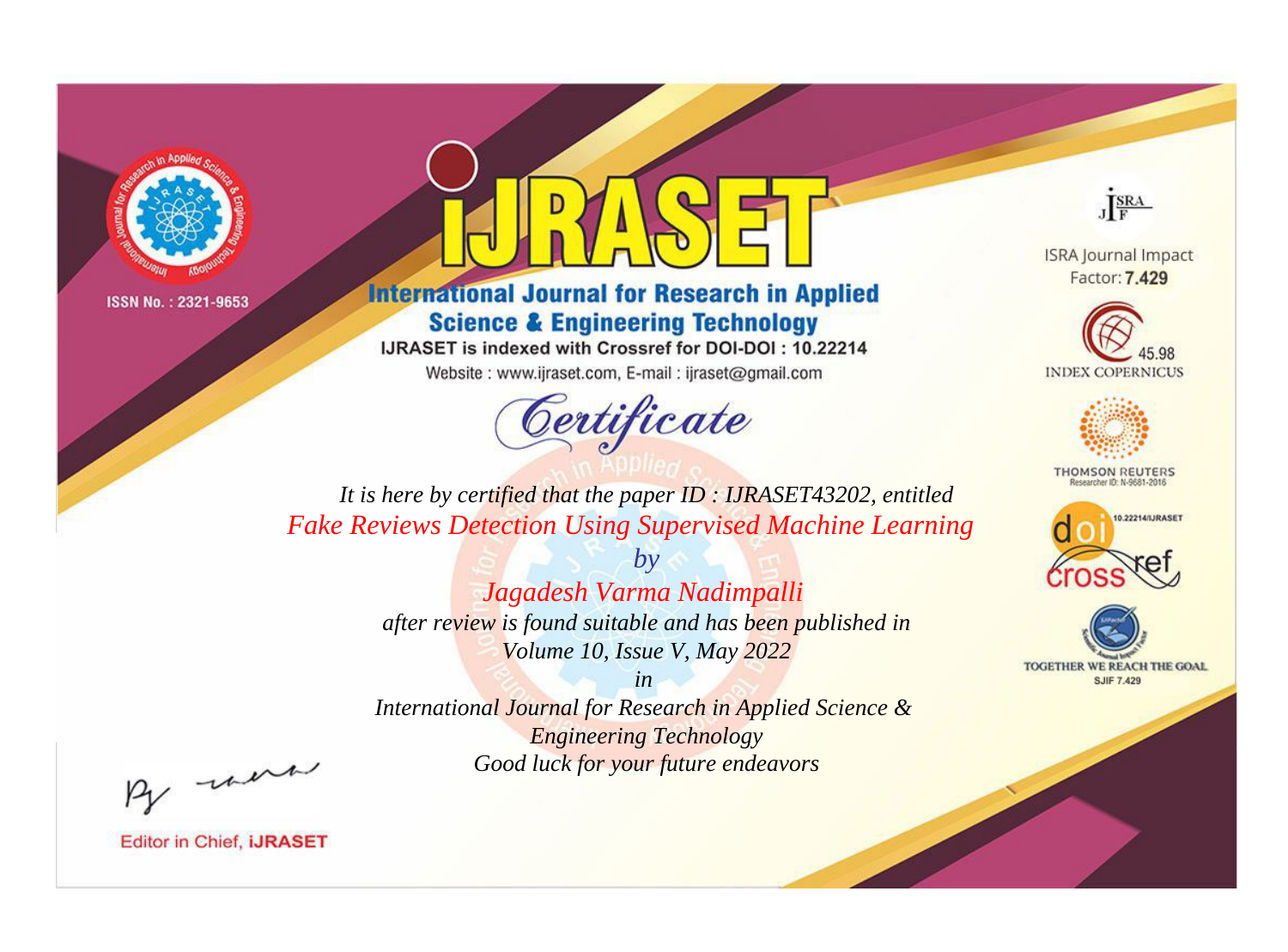

## **International Journal for Research in Applied Science & Engineering Technology**

IJRASET is indexed with Crossref for DOI-DOI: 10.22214

Website: www.ijraset.com, E-mail: ijraset@gmail.com

## Certificate

JERA

**ISRA Journal Impact** Factor: 7.429





**THOMSON REUTERS** 



TOGETHER WE REACH THE GOAL **SJIF 7.429** 

It is here by certified that the paper ID : IJRASET43202, entitled **Fake Reviews Detection Using Supervised Machine Learning** 

> $b\nu$ Jagadesh Varma Nadimpalli after review is found suitable and has been published in Volume 10, Issue V, May 2022

 $in$ International Journal for Research in Applied Science & **Engineering Technology** Good luck for your future endeavors

By morn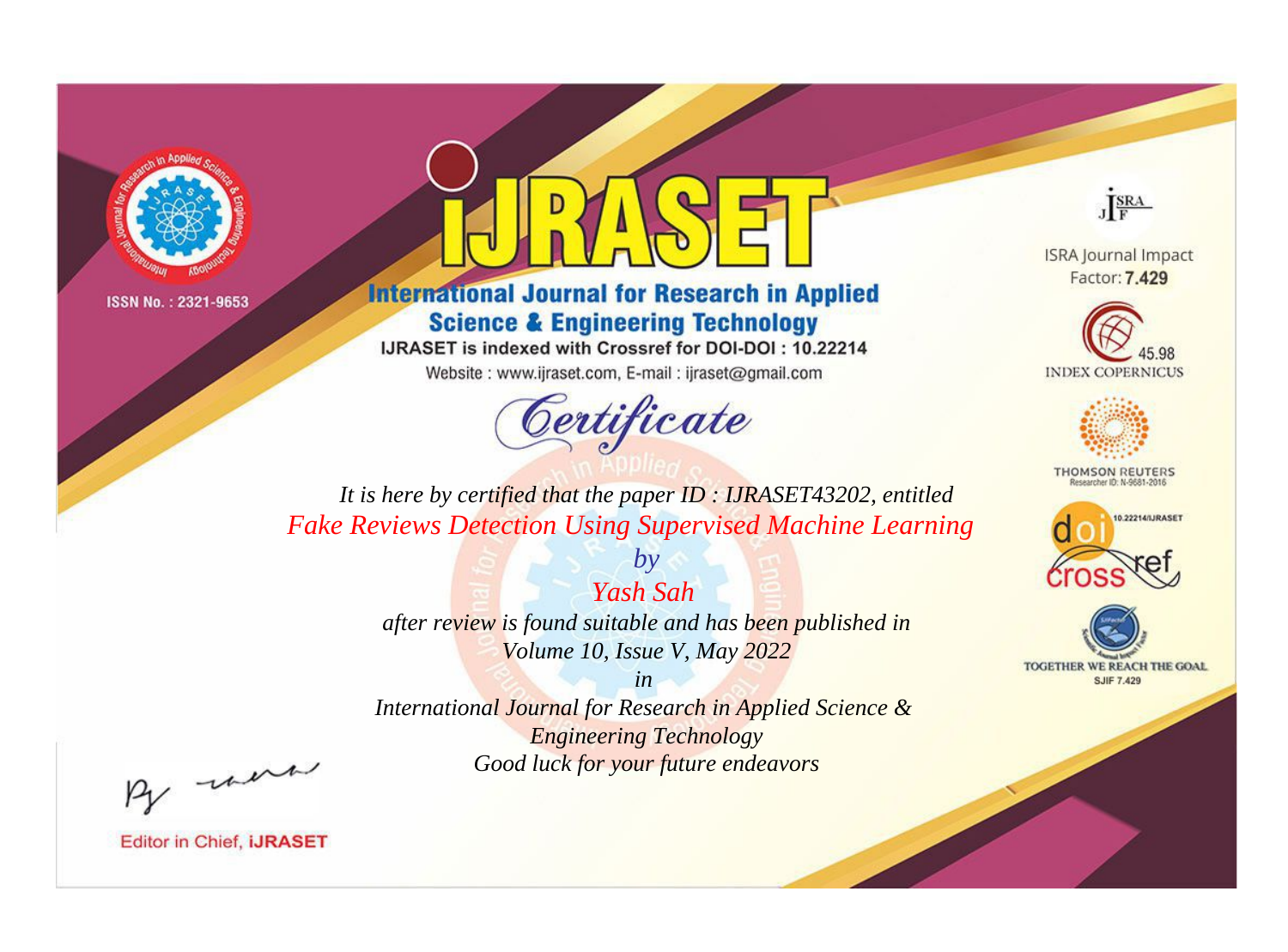



**International Journal for Research in Applied Science & Engineering Technology** 

IJRASET is indexed with Crossref for DOI-DOI: 10.22214

Website: www.ijraset.com, E-mail: ijraset@gmail.com



JERA

**ISRA Journal Impact** Factor: 7.429





**THOMSON REUTERS** 



TOGETHER WE REACH THE GOAL **SJIF 7.429** 

*It is here by certified that the paper ID : IJRASET43202, entitled Fake Reviews Detection Using Supervised Machine Learning*

> *Yash Sah after review is found suitable and has been published in Volume 10, Issue V, May 2022*

*by*

*in* 

*International Journal for Research in Applied Science & Engineering Technology Good luck for your future endeavors*

By morn